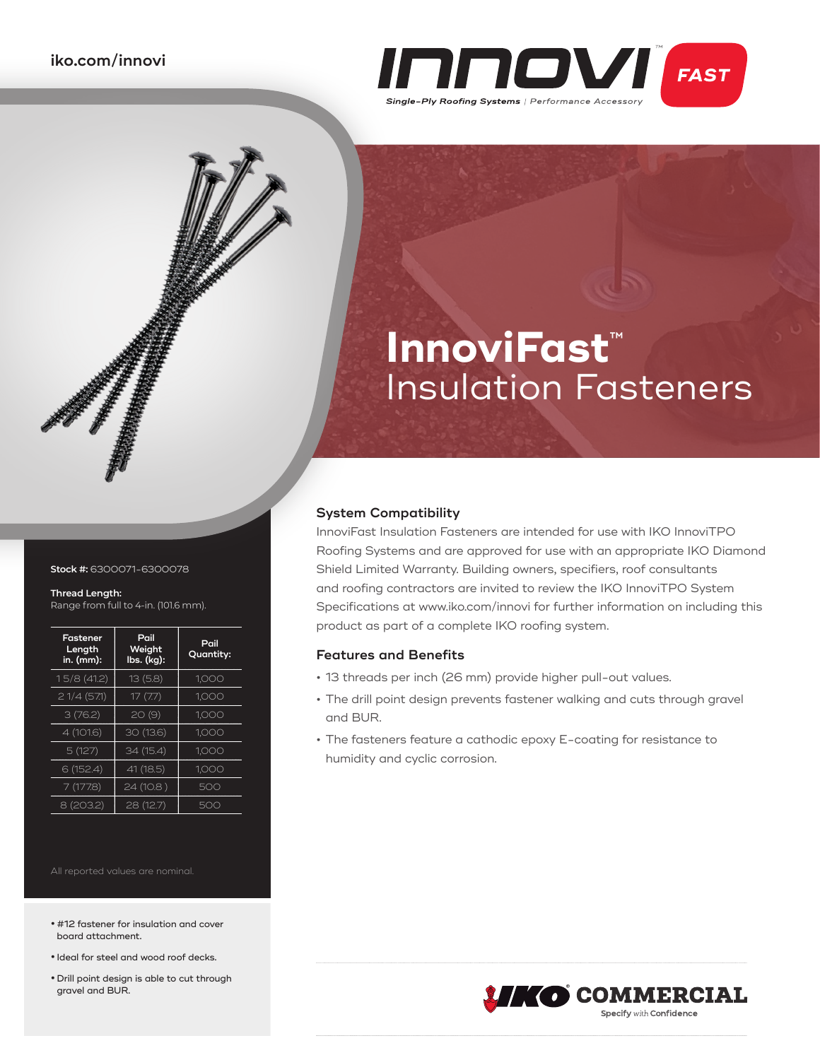

# **InnoviFast**™ Insulation Fasteners

### **System Compatibility**

InnoviFast Insulation Fasteners are intended for use with IKO InnoviTPO Roofing Systems and are approved for use with an appropriate IKO Diamond Shield Limited Warranty. Building owners, specifiers, roof consultants and roofing contractors are invited to review the IKO InnoviTPO System Specifications at www.iko.com/innovi for further information on including this product as part of a complete IKO roofing system.

## **Features and Benefits**

- **•** 13 threads per inch (26 mm) provide higher pull-out values.
- **•** The drill point design prevents fastener walking and cuts through gravel and BUR.
- **•** The fasteners feature a cathodic epoxy E-coating for resistance to humidity and cyclic corrosion.



#### **Stock #:** 6300071-6300078

#### **Thread Length:**

Range from full to 4-in. (101.6 mm).

| Fastener<br>Length<br>in. (mm): | Pail<br>Weight<br>lbs. (kg): | Pail<br>Quantity: |
|---------------------------------|------------------------------|-------------------|
| 15/8(41.2)                      | 13(5.8)                      | 1,000             |
| 21/4(571)                       | 17(7.7)                      | 1.000             |
| 3(76.2)                         | 20(9)                        | 1,000             |
| 4 (101.6)                       | 30(13.6)                     | 1,000             |
| 5(127)                          | 34 (15.4)                    | 1,000             |
| 6 (152.4)                       | 41 (18.5)                    | 1.000             |
| 7(177.8)                        | 24 (10.8)                    | 500               |
| 8 (203.2)                       | 28(12.7)                     | 500               |

- **•** #12 fastener for insulation and cover board attachment.
- **•** Ideal for steel and wood roof decks.
- **•** Drill point design is able to cut through gravel and BUR.